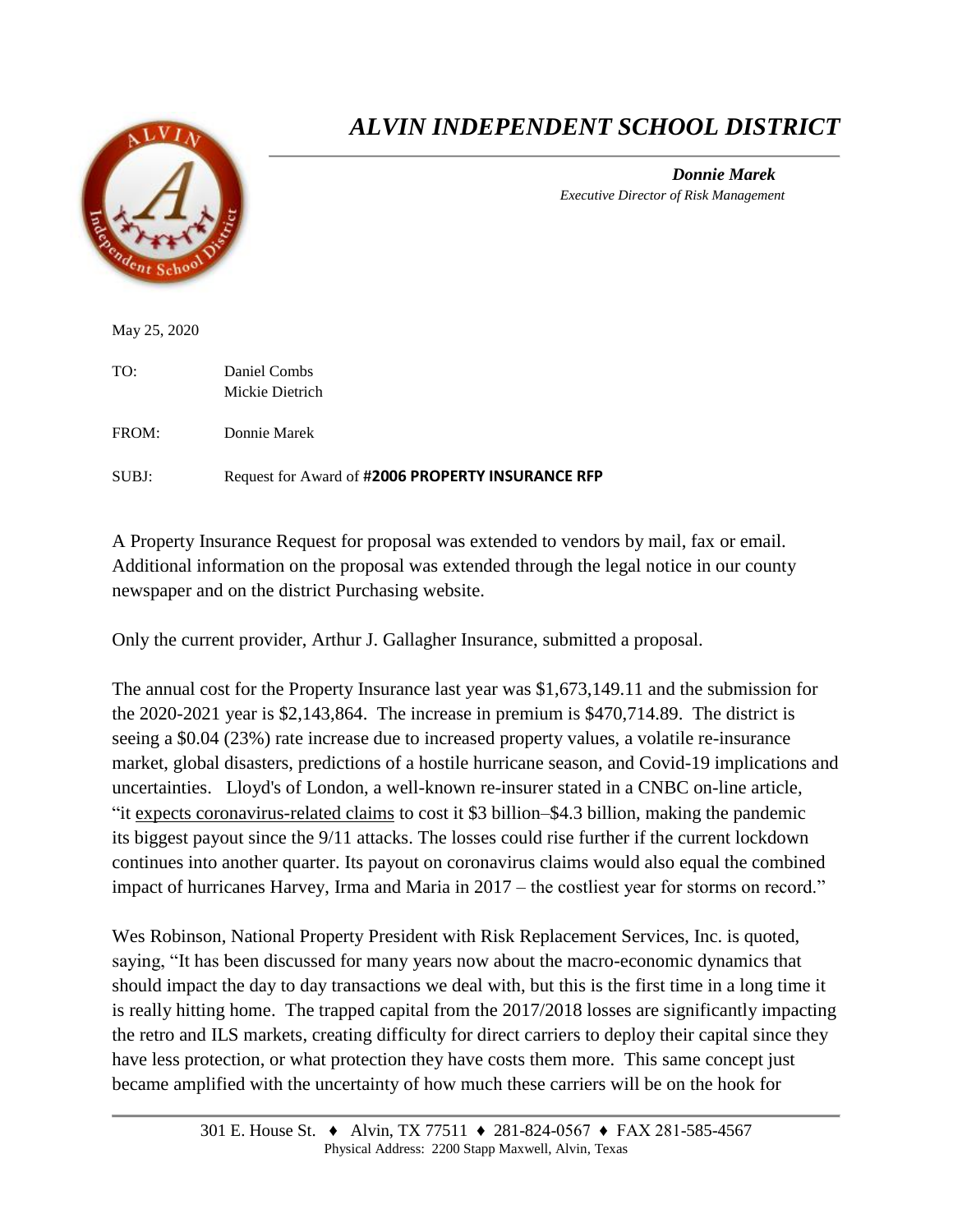

## *ALVIN INDEPENDENT SCHOOL DISTRICT*

*Donnie Marek Executive Director of Risk Management*

May 25, 2020

TO: Daniel Combs Mickie Dietrich

FROM: Donnie Marek

SUBJ: Request for Award of #**2006 PROPERTY INSURANCE RFP**

A Property Insurance Request for proposal was extended to vendors by mail, fax or email. Additional information on the proposal was extended through the legal notice in our county newspaper and on the district Purchasing website.

Only the current provider, Arthur J. Gallagher Insurance, submitted a proposal.

The annual cost for the Property Insurance last year was \$1,673,149.11 and the submission for the 2020-2021 year is \$2,143,864. The increase in premium is \$470,714.89. The district is seeing a \$0.04 (23%) rate increase due to increased property values, a volatile re-insurance market, global disasters, predictions of a hostile hurricane season, and Covid-19 implications and uncertainties. Lloyd's of London, a well-known re-insurer stated in a CNBC on-line article, "it [expects coronavirus-related claims](http://go.ciab.com/e/324401/ss-on-record-for-insurers-html/24j7l2/507091517?h=5qaTjBD13eHSGRHB_MSxoDYCYHNPUX4aE5zSIUKNdgQ) to cost it \$3 billion–\$4.3 billion, making the pandemic its biggest payout since the 9/11 attacks. The losses could rise further if the current lockdown continues into another quarter. Its payout on coronavirus claims would also equal the combined impact of hurricanes Harvey, Irma and Maria in 2017 – the costliest year for storms on record."

Wes Robinson, National Property President with Risk Replacement Services, Inc. is quoted, saying, "It has been discussed for many years now about the macro-economic dynamics that should impact the day to day transactions we deal with, but this is the first time in a long time it is really hitting home. The trapped capital from the 2017/2018 losses are significantly impacting the retro and ILS markets, creating difficulty for direct carriers to deploy their capital since they have less protection, or what protection they have costs them more. This same concept just became amplified with the uncertainty of how much these carriers will be on the hook for